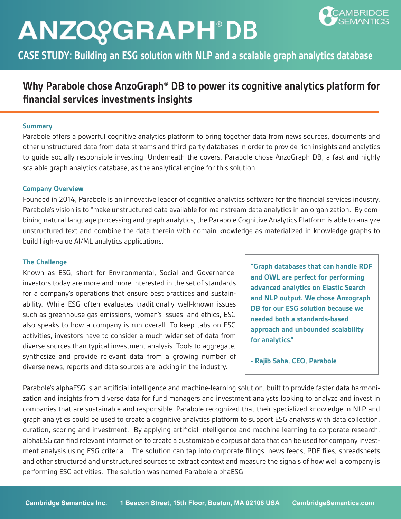**CASE STUDY: Building an ESG solution with NLP and a scalable graph analytics database** 

### **Why Parabole chose AnzoGraph® DB to power its cognitive analytics platform for financial services investments insights**

### **Summary**

Parabole offers a powerful cognitive analytics platform to bring together data from news sources, documents and other unstructured data from data streams and third-party databases in order to provide rich insights and analytics to guide socially responsible investing. Underneath the covers, Parabole chose AnzoGraph DB, a fast and highly scalable graph analytics database, as the analytical engine for this solution.

### **Company Overview**

Founded in 2014, Parabole is an innovative leader of cognitive analytics software for the financial services industry. Parabole's vision is to "make unstructured data available for mainstream data analytics in an organization." By combining natural language processing and graph analytics, the Parabole Cognitive Analytics Platform is able to analyze unstructured text and combine the data therein with domain knowledge as materialized in knowledge graphs to build high-value AI/ML analytics applications.

### **The Challenge**

Known as ESG, short for Environmental, Social and Governance, investors today are more and more interested in the set of standards for a company's operations that ensure best practices and sustainability. While ESG often evaluates traditionally well-known issues such as greenhouse gas emissions, women's issues, and ethics, ESG also speaks to how a company is run overall. To keep tabs on ESG activities, investors have to consider a much wider set of data from diverse sources than typical investment analysis. Tools to aggregate, synthesize and provide relevant data from a growing number of diverse news, reports and data sources are lacking in the industry.

**"Graph databases that can handle RDF and OWL are perfect for performing advanced analytics on Elastic Search and NLP output. We chose Anzograph DB for our ESG solution because we needed both a standards-based approach and unbounded scalability for analytics."** 

**- Rajib Saha, CEO, Parabole**

Parabole's alphaESG is an artificial intelligence and machine-learning solution, built to provide faster data harmonization and insights from diverse data for fund managers and investment analysts looking to analyze and invest in companies that are sustainable and responsible. Parabole recognized that their specialized knowledge in NLP and graph analytics could be used to create a cognitive analytics platform to support ESG analysts with data collection, curation, scoring and investment. By applying artificial intelligence and machine learning to corporate research, alphaESG can find relevant information to create a customizable corpus of data that can be used for company investment analysis using ESG criteria. The solution can tap into corporate filings, news feeds, PDF files, spreadsheets and other structured and unstructured sources to extract context and measure the signals of how well a company is performing ESG activities. The solution was named Parabole alphaESG.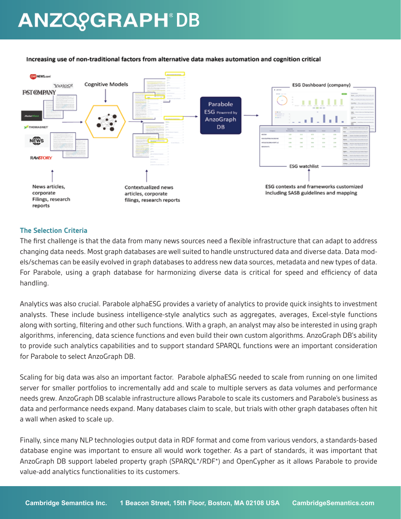

#### Increasing use of non-traditional factors from alternative data makes automation and cognition critical

### **The Selection Criteria**

The first challenge is that the data from many news sources need a flexible infrastructure that can adapt to address changing data needs. Most graph databases are well suited to handle unstructured data and diverse data. Data models/schemas can be easily evolved in graph databases to address new data sources, metadata and new types of data. For Parabole, using a graph database for harmonizing diverse data is critical for speed and efficiency of data handling.

Analytics was also crucial. Parabole alphaESG provides a variety of analytics to provide quick insights to investment analysts. These include business intelligence-style analytics such as aggregates, averages, Excel-style functions along with sorting, filtering and other such functions. With a graph, an analyst may also be interested in using graph algorithms, inferencing, data science functions and even build their own custom algorithms. AnzoGraph DB's ability to provide such analytics capabilities and to support standard SPARQL functions were an important consideration for Parabole to select AnzoGraph DB.

Scaling for big data was also an important factor. Parabole alphaESG needed to scale from running on one limited server for smaller portfolios to incrementally add and scale to multiple servers as data volumes and performance needs grew. AnzoGraph DB scalable infrastructure allows Parabole to scale its customers and Parabole's business as data and performance needs expand. Many databases claim to scale, but trials with other graph databases often hit a wall when asked to scale up.

Finally, since many NLP technologies output data in RDF format and come from various vendors, a standards-based database engine was important to ensure all would work together. As a part of standards, it was important that AnzoGraph DB support labeled property graph (SPARQL\*/RDF\*) and OpenCypher as it allows Parabole to provide value-add analytics functionalities to its customers.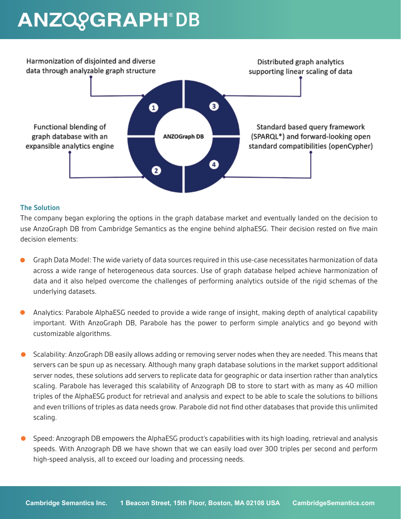

### **The Solution**

The company began exploring the options in the graph database market and eventually landed on the decision to use AnzoGraph DB from Cambridge Semantics as the engine behind alphaESG. Their decision rested on five main decision elements:

- Graph Data Model: The wide variety of data sources required in this use-case necessitates harmonization of data across a wide range of heterogeneous data sources. Use of graph database helped achieve harmonization of data and it also helped overcome the challenges of performing analytics outside of the rigid schemas of the underlying datasets.
- Analytics: Parabole AlphaESG needed to provide a wide range of insight, making depth of analytical capability important. With AnzoGraph DB, Parabole has the power to perform simple analytics and go beyond with customizable algorithms.
- Scalability: AnzoGraph DB easily allows adding or removing server nodes when they are needed. This means that servers can be spun up as necessary. Although many graph database solutions in the market support additional server nodes, these solutions add servers to replicate data for geographic or data insertion rather than analytics scaling. Parabole has leveraged this scalability of Anzograph DB to store to start with as many as 40 million triples of the AlphaESG product for retrieval and analysis and expect to be able to scale the solutions to billions and even trillions of triples as data needs grow. Parabole did not find other databases that provide this unlimited scaling.
- Speed: Anzograph DB empowers the AlphaESG product's capabilities with its high loading, retrieval and analysis speeds. With Anzograph DB we have shown that we can easily load over 300 triples per second and perform high-speed analysis, all to exceed our loading and processing needs.